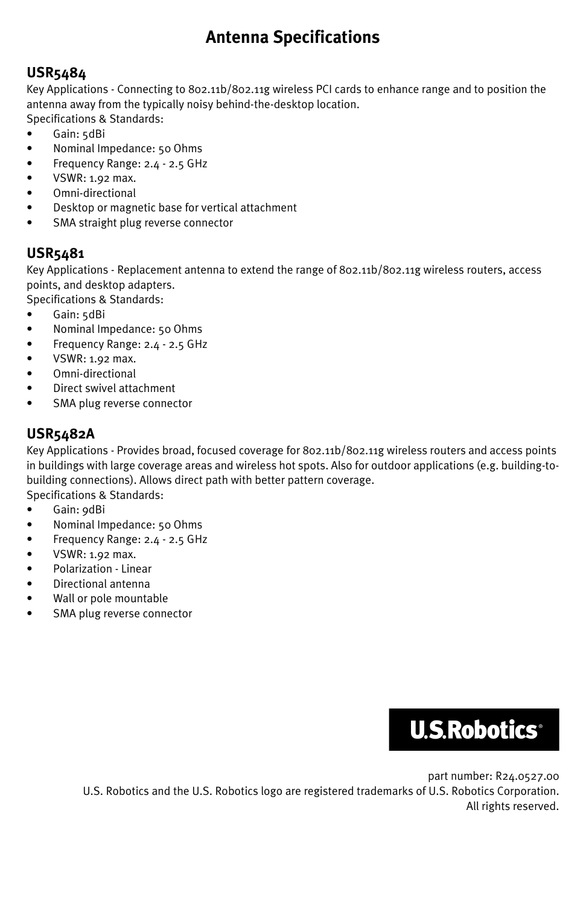# **Antenna Specifications**

### **USR5484**

Key Applications - Connecting to 802.11b/802.11g wireless PCI cards to enhance range and to position the antenna away from the typically noisy behind-the-desktop location. Specifications & Standards:

- Gain: 5dBi
- Nominal Impedance: 50 Ohms
- Frequency Range: 2.4 2.5 GHz
- $\bullet$  VSWR: 1.92 max.
- Omni-directional
- Desktop or magnetic base for vertical attachment
- SMA straight plug reverse connector

## **USR5481**

Key Applications - Replacement antenna to extend the range of 802.11b/802.11g wireless routers, access points, and desktop adapters.

- Specifications & Standards:
- Gain: 5dBi
- Nominal Impedance: 50 Ohms
- Frequency Range: 2.4 2.5 GHz
- $\bullet$  VSWR: 1.92 max.
- Omni-directional
- Direct swivel attachment
- SMA plug reverse connector

## **USR5482A**

Key Applications - Provides broad, focused coverage for 802.11b/802.11g wireless routers and access points in buildings with large coverage areas and wireless hot spots. Also for outdoor applications (e.g. building-tobuilding connections). Allows direct path with better pattern coverage.

Specifications & Standards:

- Gain: 9dBi
- Nominal Impedance: 50 Ohms
- Frequency Range: 2.4 2.5 GHz
- $\bullet$  VSWR: 1.92 max.
- Polarization Linear
- Directional antenna
- Wall or pole mountable
- SMA plug reverse connector



part number: R24.0527.00 U.S. Robotics and the U.S. Robotics logo are registered trademarks of U.S. Robotics Corporation. All rights reserved.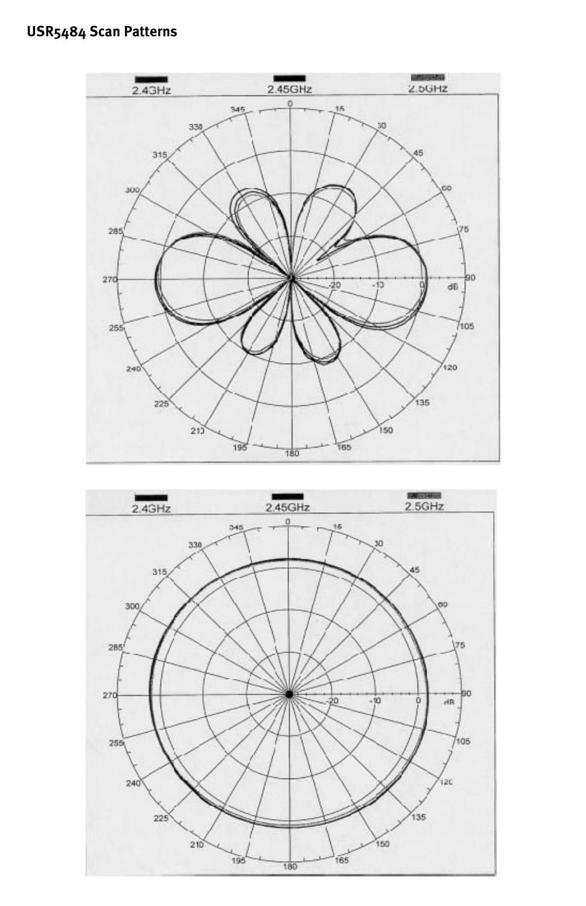

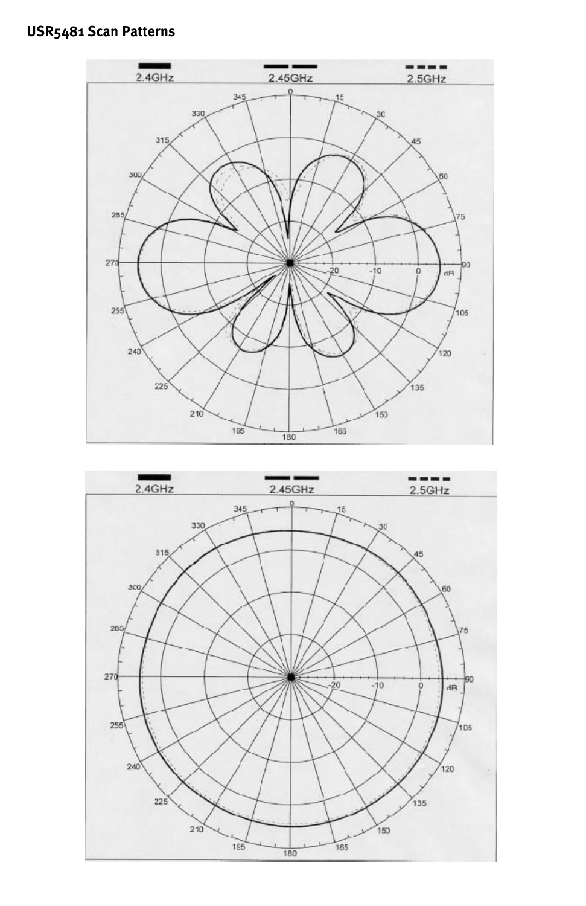### **USR5481 Scan Patterns**